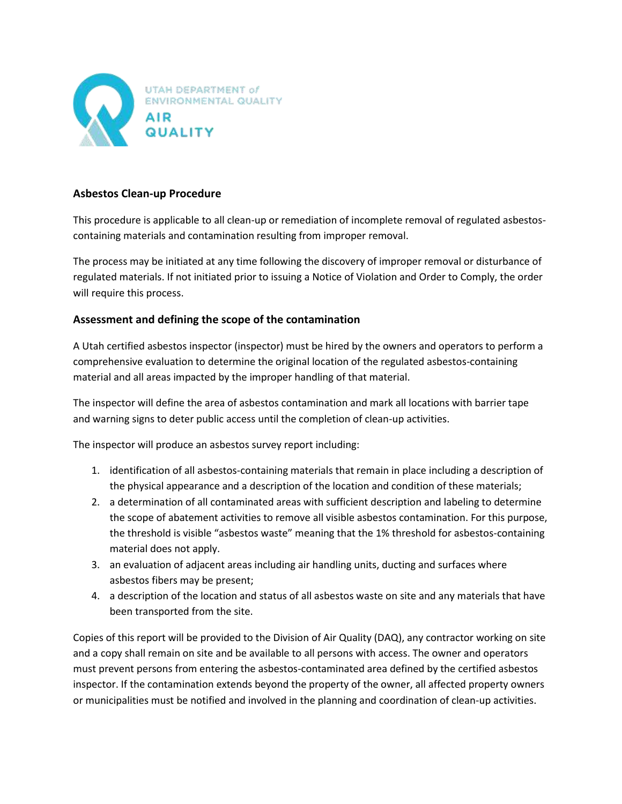

## **Asbestos Clean-up Procedure**

This procedure is applicable to all clean-up or remediation of incomplete removal of regulated asbestoscontaining materials and contamination resulting from improper removal.

The process may be initiated at any time following the discovery of improper removal or disturbance of regulated materials. If not initiated prior to issuing a Notice of Violation and Order to Comply, the order will require this process.

#### **Assessment and defining the scope of the contamination**

A Utah certified asbestos inspector (inspector) must be hired by the owners and operators to perform a comprehensive evaluation to determine the original location of the regulated asbestos-containing material and all areas impacted by the improper handling of that material.

The inspector will define the area of asbestos contamination and mark all locations with barrier tape and warning signs to deter public access until the completion of clean-up activities.

The inspector will produce an asbestos survey report including:

- 1. identification of all asbestos-containing materials that remain in place including a description of the physical appearance and a description of the location and condition of these materials;
- 2. a determination of all contaminated areas with sufficient description and labeling to determine the scope of abatement activities to remove all visible asbestos contamination. For this purpose, the threshold is visible "asbestos waste" meaning that the 1% threshold for asbestos-containing material does not apply.
- 3. an evaluation of adjacent areas including air handling units, ducting and surfaces where asbestos fibers may be present;
- 4. a description of the location and status of all asbestos waste on site and any materials that have been transported from the site.

Copies of this report will be provided to the Division of Air Quality (DAQ), any contractor working on site and a copy shall remain on site and be available to all persons with access. The owner and operators must prevent persons from entering the asbestos-contaminated area defined by the certified asbestos inspector. If the contamination extends beyond the property of the owner, all affected property owners or municipalities must be notified and involved in the planning and coordination of clean-up activities.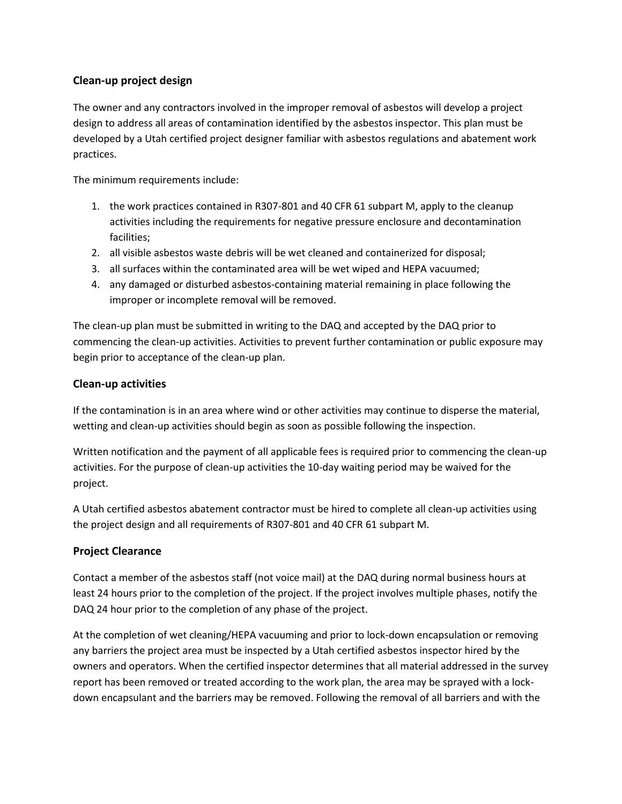## **Clean-up project design**

The owner and any contractors involved in the improper removal of asbestos will develop a project design to address all areas of contamination identified by the asbestos inspector. This plan must be developed by a Utah certified project designer familiar with asbestos regulations and abatement work practices.

The minimum requirements include:

- 1. the work practices contained in R307-801 and 40 CFR 61 subpart M, apply to the cleanup activities including the requirements for negative pressure enclosure and decontamination facilities;
- 2. all visible asbestos waste debris will be wet cleaned and containerized for disposal;
- 3. all surfaces within the contaminated area will be wet wiped and HEPA vacuumed;
- 4. any damaged or disturbed asbestos-containing material remaining in place following the improper or incomplete removal will be removed.

The clean-up plan must be submitted in writing to the DAQ and accepted by the DAQ prior to commencing the clean-up activities. Activities to prevent further contamination or public exposure may begin prior to acceptance of the clean-up plan.

#### **Clean-up activities**

If the contamination is in an area where wind or other activities may continue to disperse the material, wetting and clean-up activities should begin as soon as possible following the inspection.

Written notification and the payment of all applicable fees is required prior to commencing the clean-up activities. For the purpose of clean-up activities the 10-day waiting period may be waived for the project.

A Utah certified asbestos abatement contractor must be hired to complete all clean-up activities using the project design and all requirements of R307-801 and 40 CFR 61 subpart M.

#### **Project Clearance**

Contact a member of the asbestos staff (not voice mail) at the DAQ during normal business hours at least 24 hours prior to the completion of the project. If the project involves multiple phases, notify the DAQ 24 hour prior to the completion of any phase of the project.

At the completion of wet cleaning/HEPA vacuuming and prior to lock-down encapsulation or removing any barriers the project area must be inspected by a Utah certified asbestos inspector hired by the owners and operators. When the certified inspector determines that all material addressed in the survey report has been removed or treated according to the work plan, the area may be sprayed with a lockdown encapsulant and the barriers may be removed. Following the removal of all barriers and with the